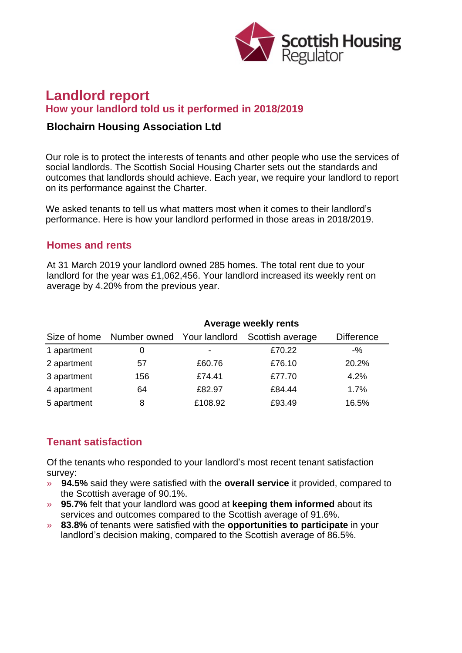

# **Landlord report How your landlord told us it performed in 2018/2019**

#### **Blochairn Housing Association Ltd**

Our role is to protect the interests of tenants and other people who use the services of social landlords. The Scottish Social Housing Charter sets out the standards and outcomes that landlords should achieve. Each year, we require your landlord to report on its performance against the Charter.

We asked tenants to tell us what matters most when it comes to their landlord's performance. Here is how your landlord performed in those areas in 2018/2019.

#### **Homes and rents**

At 31 March 2019 your landlord owned 285 homes. The total rent due to your landlord for the year was £1,062,456. Your landlord increased its weekly rent on average by 4.20% from the previous year.

|             | Average weekly rents |         |                                                          |                   |
|-------------|----------------------|---------|----------------------------------------------------------|-------------------|
|             |                      |         | Size of home Number owned Your landlord Scottish average | <b>Difference</b> |
| 1 apartment | 0                    | ٠       | £70.22                                                   | $-$ %             |
| 2 apartment | 57                   | £60.76  | £76.10                                                   | 20.2%             |
| 3 apartment | 156                  | £74.41  | £77.70                                                   | 4.2%              |
| 4 apartment | 64                   | £82.97  | £84.44                                                   | 1.7%              |
| 5 apartment | 8                    | £108.92 | £93.49                                                   | 16.5%             |

# **Tenant satisfaction**

Of the tenants who responded to your landlord's most recent tenant satisfaction survey:

- » **94.5%** said they were satisfied with the **overall service** it provided, compared to the Scottish average of 90.1%.
- » **95.7%** felt that your landlord was good at **keeping them informed** about its services and outcomes compared to the Scottish average of 91.6%.
- » **83.8%** of tenants were satisfied with the **opportunities to participate** in your landlord's decision making, compared to the Scottish average of 86.5%.